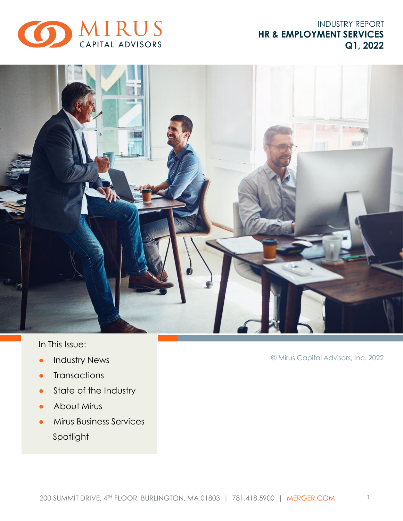

## INDUSTRY REPORT **HR & EMPLOYMENT SERVICES Q1, 2022**



In This Issue:

- **•** Industry News
- Transactions
- State of the Industry
- About Mirus
- **•** Mirus Business Services Spotlight

© Mirus Capital Advisors, Inc. 2022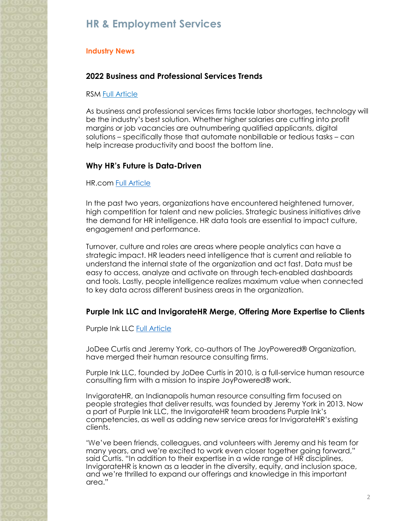## **HR & Employment Services**

### **Industry News**

## **2022 Business and Professional Services Trends**

#### RSM [Full Article](https://realeconomy.rsmus.com/business-and-professional-services-industry-outlook-spring-2022/)

As business and professional services firms tackle labor shortages, technology will be the industry's best solution. Whether higher salaries are cutting into profit margins or job vacancies are outnumbering qualified applicants, digital solutions – specifically those that automate nonbillable or tedious tasks – can help increase productivity and boost the bottom line.

### **Why HR's Future is Data-Driven**

### HR.com [Full Article](https://hrcommedia-public.s3.amazonaws.com/ExcellenceEssentials/HRSP/2022/HRSP_MAR_2022/page_10.html)

In the past two years, organizations have encountered heightened turnover, high competition for talent and new policies. Strategic business initiatives drive the demand for HR intelligence. HR data tools are essential to impact culture, engagement and performance.

Turnover, culture and roles are areas where people analytics can have a strategic impact. HR leaders need intelligence that is current and reliable to understand the internal state of the organization and act fast. Data must be easy to access, analyze and activate on through tech-enabled dashboards and tools. Lastly, people intelligence realizes maximum value when connected to key data across different business areas in the organization.

### **Purple Ink LLC and InvigorateHR Merge, Offering More Expertise to Clients**

### Purple Ink LLC [Full Article](https://purpleinkllc.com/2022/01/01/purple-ink-llc-and-invigoratehr-merge/)

JoDee Curtis and Jeremy York, co-authors of The JoyPowered® Organization, have merged their human resource consulting firms.

Purple Ink LLC, founded by JoDee Curtis in 2010, is a full-service human resource consulting firm with a mission to inspire JoyPowered® work.

InvigorateHR, an Indianapolis human resource consulting firm focused on people strategies that deliver results, was founded by Jeremy York in 2013. Now a part of Purple Ink LLC, the InvigorateHR team broadens Purple Ink's competencies, as well as adding new service areas for InvigorateHR's existing clients.

"We've been friends, colleagues, and volunteers with Jeremy and his team for many years, and we're excited to work even closer together going forward," said Curtis. "In addition to their expertise in a wide range of HR disciplines, InvigorateHR is known as a leader in the diversity, equity, and inclusion space, and we're thrilled to expand our offerings and knowledge in this important area."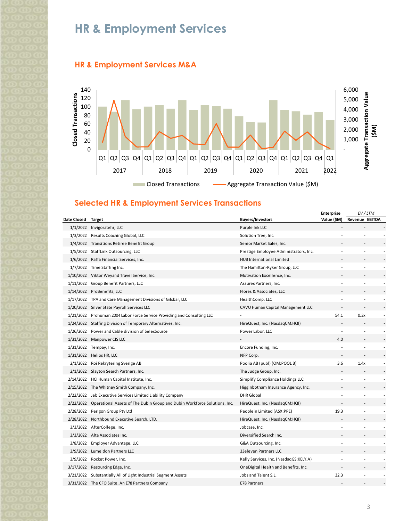# **HR & Employment Services**





### **Selected HR & Employment Services Transactions**

|                    |                                                                                     |                                        | <b>Enterprise</b> | EV/LTM                   |  |                          |
|--------------------|-------------------------------------------------------------------------------------|----------------------------------------|-------------------|--------------------------|--|--------------------------|
| Date Closed Target |                                                                                     | <b>Buyers/Investors</b>                | Value (\$M)       | Revenue EBITDA           |  |                          |
|                    | 1/1/2022 Invigoratehr, LLC                                                          | Purple Ink LLC                         |                   |                          |  |                          |
|                    | 1/3/2022 Results Coaching Global, LLC                                               | Solution Tree, Inc.                    |                   |                          |  |                          |
|                    | 1/4/2022 Transitions Retiree Benefit Group                                          | Senior Market Sales, Inc.              |                   |                          |  |                          |
|                    | 1/5/2022 StaffLink Outsourcing, LLC                                                 | Prestige Employee Administrators, Inc. |                   |                          |  |                          |
|                    | 1/6/2022 Raffa Financial Services, Inc.                                             | HUB International Limited              |                   |                          |  |                          |
|                    | 1/7/2022 Time Staffing Inc.                                                         | The Hamilton-Ryker Group, LLC          |                   |                          |  |                          |
|                    | 1/10/2022 Viktor Weyand Travel Service, Inc.                                        | Motivation Excellence, Inc.            |                   |                          |  |                          |
|                    | 1/11/2022 Group Benefit Partners, LLC                                               | AssuredPartners, Inc.                  |                   |                          |  |                          |
|                    | 1/14/2022 ProBenefits, LLC                                                          | Flores & Associates, LLC               |                   |                          |  |                          |
|                    | 1/17/2022 TPA and Care Management Divisions of Gilsbar, LLC                         | HealthComp, LLC                        |                   |                          |  |                          |
|                    | 1/20/2022 Silver State Payroll Services LLC                                         | CAVU Human Capital Management LLC      |                   |                          |  |                          |
|                    | 1/21/2022 Prohuman 2004 Labor Force Service Providing and Consulting LLC            |                                        | 54.1              | 0.3x                     |  | $\overline{\phantom{a}}$ |
|                    | 1/24/2022 Staffing Division of Temporary Alternatives, Inc.                         | HireQuest, Inc. (NasdaqCM:HQI)         |                   |                          |  |                          |
|                    | 1/26/2022 Power and Cable division of SelecSource                                   | Power Labor, LLC                       |                   |                          |  |                          |
|                    | 1/31/2022 Manpower CIS LLC                                                          |                                        | 4.0               |                          |  |                          |
|                    | 1/31/2022 Tempay, Inc.                                                              | Encore Funding, Inc.                   |                   |                          |  |                          |
|                    | 1/31/2022 Helios HR, LLC                                                            | NFP Corp.                              |                   |                          |  |                          |
|                    | 2/1/2022 Roi Rekrytering Sverige AB                                                 | Poolia AB (publ) (OM:POOL B)           | 3.6               | 1.4x                     |  | $\overline{a}$           |
|                    | 2/1/2022 Slayton Search Partners, Inc.                                              | The Judge Group, Inc.                  |                   |                          |  |                          |
|                    | 2/14/2022 HCI Human Capital Institute, Inc.                                         | Simplify Compliance Holdings LLC       |                   |                          |  |                          |
|                    | 2/15/2022 The Whitney Smith Company, Inc.                                           | Higginbotham Insurance Agency, Inc.    |                   |                          |  |                          |
|                    | 2/22/2022 Jeb Executive Services Limited Liability Company                          | <b>DHR</b> Global                      |                   |                          |  |                          |
|                    | 2/22/2022 Operational Assets of The Dubin Group and Dubin Workforce Solutions, Inc. | HireQuest, Inc. (NasdaqCM:HQI)         |                   |                          |  |                          |
|                    | 2/28/2022 Perigon Group Pty Ltd                                                     | Peoplein Limited (ASX:PPE)             | 19.3              | $\overline{a}$           |  |                          |
|                    | 2/28/2022 Northbound Executive Search, LTD.                                         | HireQuest, Inc. (NasdaqCM:HQI)         |                   |                          |  |                          |
|                    | 3/3/2022 AfterCollege, Inc.                                                         | Jobcase, Inc.                          |                   |                          |  |                          |
|                    | 3/3/2022 Alta Associates Inc.                                                       | Diversified Search Inc.                |                   |                          |  |                          |
|                    | 3/8/2022 Employer Advantage, LLC                                                    | G&A Outsourcing, Inc.                  |                   |                          |  |                          |
|                    | 3/9/2022 Lumeidon Partners LLC                                                      | 33eleven Partners LLC                  |                   | $\overline{\phantom{a}}$ |  |                          |
|                    | 3/9/2022 Rocket Power, Inc.                                                         | Kelly Services, Inc. (NasdaqGS:KELY.A) |                   |                          |  |                          |
|                    | 3/17/2022 Resourcing Edge, Inc.                                                     | OneDigital Health and Benefits, Inc.   |                   |                          |  |                          |
|                    | 3/21/2022 Substantially All of Light Industrial Segment Assets                      | Jobs and Talent S.L.                   | 32.3              |                          |  |                          |
|                    | 3/31/2022 The CFO Suite, An E78 Partners Company                                    | E78 Partners                           |                   |                          |  |                          |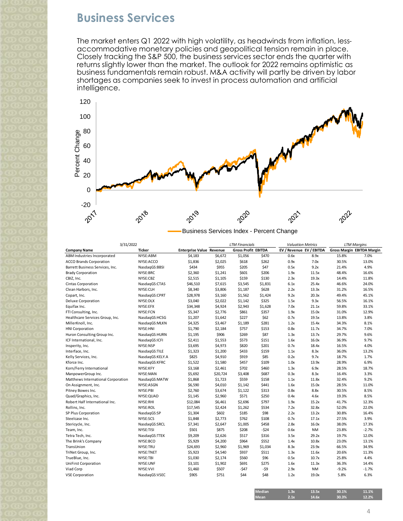# **Business Services**

The market enters Q1 2022 with high volatility, as headwinds from inflation, lessaccommodative monetary policies and geopolitical tension remain in place. Closely tracking the S&P 500, the business services sector ends the quarter with returns slightly lower than the market. The outlook for 2022 remains optimistic as business fundamentals remain robust. M&A activity will partly be driven by labor shortages as companies seek to invest in process automation and artificial intelligence.



| 3/31/2022                          |                 |                                 |          | <b>LTM Financials</b>      |         | <b>Valuation Metrics</b> |           |         | <b>LTM Margins</b>                |
|------------------------------------|-----------------|---------------------------------|----------|----------------------------|---------|--------------------------|-----------|---------|-----------------------------------|
| Company Name                       | <b>Ticker</b>   | <b>Enterprise Value Revenue</b> |          | <b>Gross Profit EBITDA</b> |         | EV / Revenue EV / EBITDA |           |         | <b>Gross Margin EBITDA Margin</b> |
| ABM Industries Incorporated        | NYSE:ABM        | \$4,183                         | \$6,672  | \$1,056                    | \$470   | 0.6x                     | 8.9x      | 15.8%   | 7.0%                              |
| <b>ACCO Brands Corporation</b>     | NYSE:ACCO       | \$1,836                         | \$2,025  | \$618                      | \$262   | 0.9x                     | 7.0x      | 30.5%   | 13.0%                             |
| Barrett Business Services, Inc.    | NasdaqGS:BBSI   | \$434                           | \$955    | \$205                      | \$47    | 0.5x                     | 9.2x      | 21.4%   | 4.9%                              |
| <b>Brady Corporation</b>           | NYSE:BRC        | \$2,360                         | \$1,241  | \$601                      | \$206   | 1.9x                     | 11.5x     | 48.4%   | 16.6%                             |
| CBIZ, Inc.                         | NYSE:CBZ        | \$2,515                         | \$1,105  | \$159                      | \$130   | 2.3x                     | 19.3x     | 14.4%   | 11.8%                             |
| Cintas Corporation                 | NasdaqGS:CTAS   | \$46,510                        | \$7,615  | \$3,545                    | \$1,831 | 6.1x                     | 25.4x     | 46.6%   | 24.0%                             |
| Clean Harbors, Inc.                | NYSE:CLH        | \$8,340                         | \$3,806  | \$1,187                    | \$628   | 2.2x                     | 13.3x     | 31.2%   | 16.5%                             |
| Copart, Inc.                       | NasdaqGS:CPRT   | \$28,978                        | \$3,160  | \$1,562                    | \$1,424 | 9.2x                     | 20.3x     | 49.4%   | 45.1%                             |
| Deluxe Corporation                 | NYSE: DLX       | \$3,040                         | \$2,022  | \$1,142                    | \$325   | 1.5x                     | 9.3x      | 56.5%   | 16.1%                             |
| Equifax Inc.                       | NYSE:EFX        | \$34,348                        | \$4,924  | \$2,943                    | \$1,628 | 7.0x                     | 21.1x     | 59.8%   | 33.1%                             |
| FTI Consulting, Inc.               | NYSE:FCN        | \$5,347                         | \$2,776  | \$861                      | \$357   | 1.9x                     | 15.0x     | 31.0%   | 12.9%                             |
| Healthcare Services Group, Inc.    | NasdaqGS:HCSG   | \$1,207                         | \$1,642  | \$227                      | \$62    | 0.7x                     | 19.5x     | 13.8%   | 3.8%                              |
| MillerKnoll, Inc.                  | NasdaqGS:MLKN   | \$4,325                         | \$3,467  | \$1,189                    | \$281   | 1.2x                     | 15.4x     | 34.3%   | 8.1%                              |
| <b>HNI Corporation</b>             | NYSE:HNI        | \$1,790                         | \$2,184  | \$757                      | \$153   | 0.8x                     | 11.7x     | 34.7%   | 7.0%                              |
| Huron Consulting Group Inc.        | NasdaqGS:HURN   | \$1,195                         | \$906    | \$269                      | \$87    | 1.3x                     | 13.7x     | 29.7%   | 9.6%                              |
| ICF International, Inc.            | NasdaqGS:ICFI   | \$2,411                         | \$1,553  | \$573                      | \$151   | 1.6x                     | 16.0x     | 36.9%   | 9.7%                              |
| Insperity, Inc.                    | NYSE:NSP        | \$3,695                         | \$4,973  | \$820                      | \$201   | 0.7x                     | 18.4x     | 16.5%   | 4.0%                              |
| Interface, Inc.                    | NasdaqGS:TILE   | \$1,323                         | \$1,200  | \$433                      | \$159   | 1.1x                     | 8.3x      | 36.0%   | 13.2%                             |
| Kelly Services, Inc.               | NasdagGS:KELY.A | \$825                           | \$4,910  | \$919                      | \$85    | 0.2x                     | 9.7x      | 18.7%   | 1.7%                              |
| Kforce Inc.                        | NasdagGS:KFRC   | \$1,522                         | \$1,580  | \$457                      | \$109   | 1.0x                     | 13.9x     | 28.9%   | 6.9%                              |
| Korn/Ferry International           | NYSE:KFY        | \$3,168                         | \$2,461  | \$702                      | \$460   | 1.3x                     | 6.9x      | 28.5%   | 18.7%                             |
| ManpowerGroup Inc.                 | NYSE:MAN        | \$5,692                         | \$20,724 | \$3,408                    | \$687   | 0.3x                     | 8.3x      | 16.4%   | 3.3%                              |
| Matthews International Corporation | NasdaqGS:MATW   | \$1,868                         | \$1,723  | \$559                      | \$158   | 1.1x                     | 11.8x     | 32.4%   | 9.2%                              |
| On Assignment, Inc.                | NYSE:ASGN       | \$6,590                         | \$4,010  | \$1,142                    | \$441   | 1.6x                     | 15.0x     | 28.5%   | 11.0%                             |
| Pitney Bowes Inc.                  | NYSE:PBI        | \$2,760                         | \$3,674  | \$1,122                    | \$313   | 0.8x                     | 8.8x      | 30.5%   | 8.5%                              |
| Quad/Graphics, Inc.                | NYSE: QUAD      | \$1,145                         | \$2,960  | \$571                      | \$250   | 0.4x                     | 4.6x      | 19.3%   | 8.5%                              |
| Robert Half International Inc.     | NYSE:RHI        | \$12,084                        | \$6,461  | \$2,696                    | \$797   | 1.9x                     | 15.2x     | 41.7%   | 12.3%                             |
| Rollins, Inc.                      | NYSE:ROL        | \$17,545                        | \$2,424  | \$1,262                    | \$534   | 7.2x                     | 32.8x     | 52.0%   | 22.0%                             |
| SP Plus Corporation                | NasdaqGS:SP     | \$1,304                         | \$602    | \$185                      | \$98    | 2.2x                     | 13.2x     | 30.8%   | 16.4%                             |
| Steelcase Inc.                     | NYSE:SCS        | \$1,848                         | \$2,773  | \$762                      | \$108   | 0.7x                     | 17.1x     | 27.5%   | 3.9%                              |
| Stericycle, Inc.                   | NasdaqGS:SRCL   | \$7,341                         | \$2,647  | \$1,005                    | \$458   | 2.8x                     | 16.0x     | 38.0%   | 17.3%                             |
| Team, Inc.                         | NYSE:TISI       | \$501                           | \$875    | \$208                      | $-524$  | 0.6x                     | <b>NM</b> | 23.8%   | $-2.7%$                           |
| Tetra Tech, Inc.                   | NasdaqGS:TTEK   | \$9,209                         | \$2,626  | \$517                      | \$316   | 3.5x                     | 29.2x     | 19.7%   | 12.0%                             |
| The Brink's Company                | NYSE:BCO        | \$5,929                         | \$4,200  | \$964                      | \$552   | 1.4x                     | 10.8x     | 23.0%   | 13.1%                             |
| TransUnion                         | NYSE:TRU        | \$24,693                        | \$2,960  | \$1,969                    | \$1,034 | 8.3x                     | 23.9x     | 66.5%   | 34.9%                             |
| TriNet Group, Inc.                 | NYSE:TNET       | \$5,923                         | \$4,540  | \$937                      | \$511   | 1.3x                     | 11.6x     | 20.6%   | 11.3%                             |
| TrueBlue, Inc.                     | NYSE:TBI        | \$1,030                         | \$2,174  | \$560                      | \$96    | 0.5x                     | 10.7x     | 25.8%   | 4.4%                              |
| UniFirst Corporation               | NYSE:UNF        | \$3,101                         | \$1,902  | \$691                      | \$275   | 1.6x                     | 11.3x     | 36.3%   | 14.4%                             |
| Viad Corp                          | NYSE:VVI        | \$1,460                         | \$507    | -\$47                      | -\$9    | 2.9x                     | <b>NM</b> | $-9.2%$ | $-1.7%$                           |
| <b>VSE Corporation</b>             | NasdaqGS:VSEC   | \$905                           | \$751    | \$44                       | \$48    | 1.2x                     | 19.0x     | 5.8%    | 6.3%                              |
|                                    |                 |                                 |          |                            |         |                          |           |         |                                   |

| <b>Median</b> | 1.3x | 13.5x | 30.1% | 11.1% |
|---------------|------|-------|-------|-------|
| <b>Mean</b>   | 2.1x | 14.6x | 30.3% | 12.2% |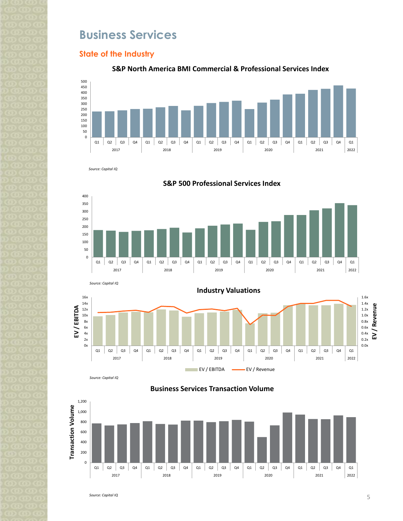# **Business Services**

### **State of the Industry**





*Source: Capital IQ*









**Business Services Transaction Volume**



*Source: Capital IQ*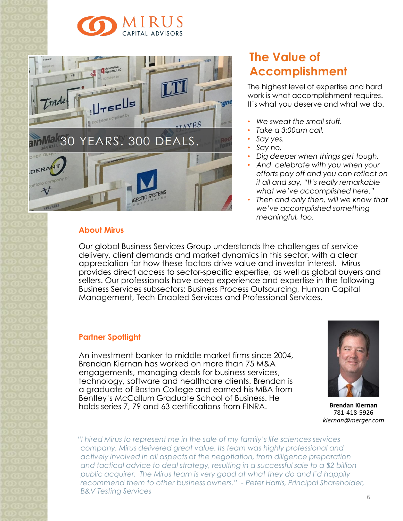



### **About Mirus**

# **The Value of Accomplishment**

The highest level of expertise and hard work is what accomplishment requires. It's what you deserve and what we do.

- *We sweat the small stuff.*
- *Take a 3:00am call.*
- *Say yes.*
- *Say no.*
- *Dig deeper when things get tough.*
- *And celebrate with you when your efforts pay off and you can reflect on it all and say, "It's really remarkable what we've accomplished here."*
- *Then and only then, will we know that we've accomplished something meaningful, too.*

Our global Business Services Group understands the challenges of service delivery, client demands and market dynamics in this sector, with a clear appreciation for how these factors drive value and investor interest. Mirus provides direct access to sector-specific expertise, as well as global buyers and sellers. Our professionals have deep experience and expertise in the following Business Services subsectors: Business Process Outsourcing, Human Capital Management, Tech-Enabled Services and Professional Services.

### **Partner Spotlight**

An investment banker to middle market firms since 2004, Brendan Kiernan has worked on more than 75 M&A engagements, managing deals for business services, technology, software and healthcare clients. Brendan is a graduate of Boston College and earned his MBA from Bentley's McCallum Graduate School of Business. He holds series 7, 79 and 63 certifications from FINRA. **Brendan Kiernan**



781-418-5926 *kiernan@merger.com*

*"I hired Mirus to represent me in the sale of my family's life sciences services company. Mirus delivered great value. Its team was highly professional and actively involved in all aspects of the negotiation, from diligence preparation and tactical advice to deal strategy, resulting in a successful sale to a \$2 billion public acquirer. The Mirus team is very good at what they do and I'd happily recommend them to other business owners." - Peter Harris, Principal Shareholder, B&V Testing Services*